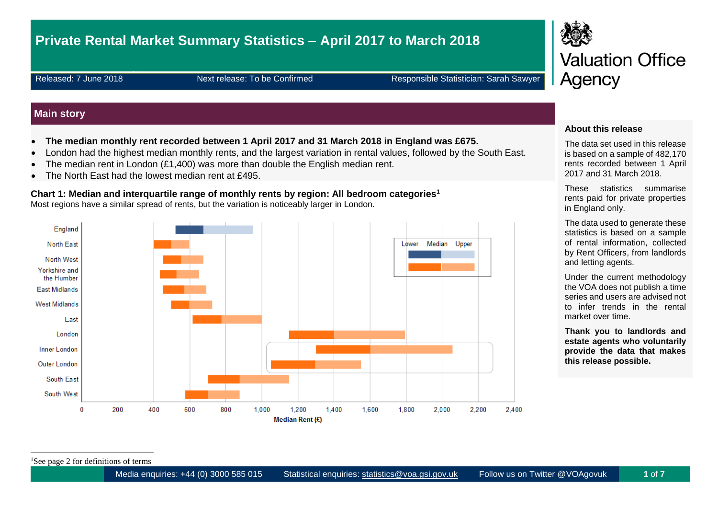# **Private Rental Market Summary Statistics – April 2017 to March 2018**

Released: 7 June 2018 Next release: To be Confirmed Responsible Statistician: Sarah Sawyer

### **Main story**

- **The median monthly rent recorded between 1 April 2017 and 31 March 2018 in England was £675.**
- London had the highest median monthly rents, and the largest variation in rental values, followed by the South East.
- The median rent in London (£1,400) was more than double the English median rent.
- The North East had the lowest median rent at £495.

## **Chart 1: Median and interquartile range of monthly rents by region: All bedroom categories<sup>1</sup>**

Most regions have a similar spread of rents, but the variation is noticeably larger in London.





#### **About this release**

The data set used in this release is based on a sample of 482,170 rents recorded between 1 April 2017 and 31 March 2018.

These statistics summarise rents paid for private properties in England only.

The data used to generate these statistics is based on a sample of rental information, collected by Rent Officers, from landlords and letting agents.

Under the current methodology the VOA does not publish a time series and users are advised not to infer trends in the rental market over time.

**Thank you to landlords and estate agents who voluntarily provide the data that makes this release possible.**

<sup>1</sup>See page 2 for definitions of terms

1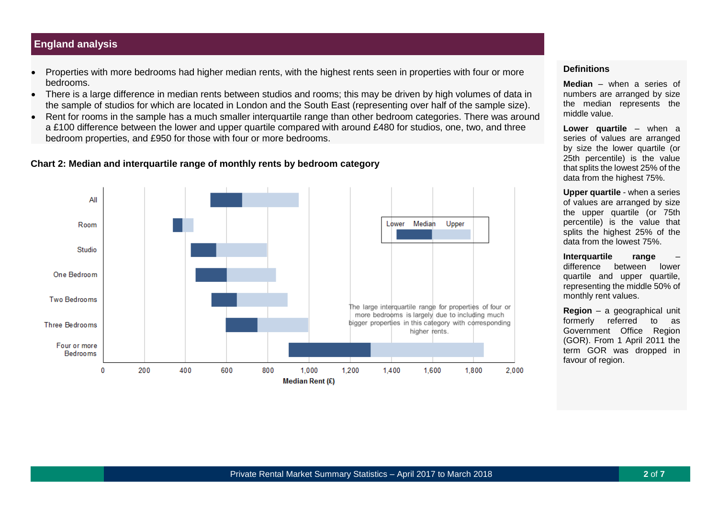## **England analysis**

- Properties with more bedrooms had higher median rents, with the highest rents seen in properties with four or more bedrooms.
- There is a large difference in median rents between studios and rooms; this may be driven by high volumes of data in the sample of studios for which are located in London and the South East (representing over half of the sample size).
- Rent for rooms in the sample has a much smaller interquartile range than other bedroom categories. There was around a £100 difference between the lower and upper quartile compared with around £480 for studios, one, two, and three bedroom properties, and £950 for those with four or more bedrooms.

#### **Chart 2: Median and interquartile range of monthly rents by bedroom category**



#### **Definitions**

**Median** – when a series of numbers are arranged by size the median represents the middle value.

**Lower quartile** – when a series of values are arranged by size the lower quartile (or 25th percentile) is the value that splits the lowest 25% of the data from the highest 75%.

**Upper quartile** - when a series of values are arranged by size the upper quartile (or 75th percentile) is the value that splits the highest 25% of the data from the lowest 75%.

**Interquartile range** – difference between lower quartile and upper quartile, representing the middle 50% of monthly rent values.

**Region** – a geographical unit formerly referred to as Government Office Region (GOR). From 1 April 2011 the term GOR was dropped in favour of region.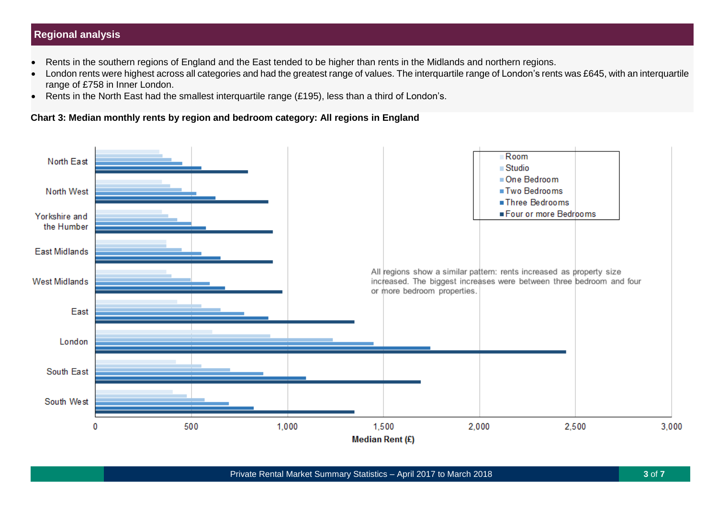## **Regional analysis**

- Rents in the southern regions of England and the East tended to be higher than rents in the Midlands and northern regions.
- London rents were highest across all categories and had the greatest range of values. The interquartile range of London's rents was £645, with an interquartile range of £758 in Inner London.
- Rents in the North East had the smallest interquartile range (£195), less than a third of London's.

### **Chart 3: Median monthly rents by region and bedroom category: All regions in England**

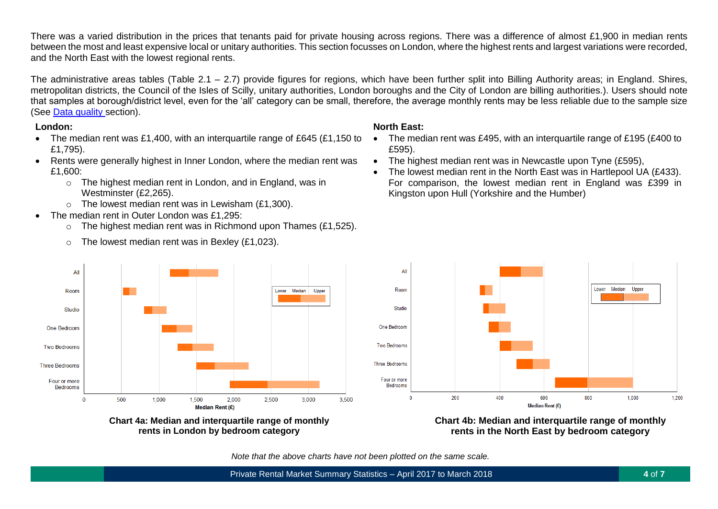There was a varied distribution in the prices that tenants paid for private housing across regions. There was a difference of almost £1,900 in median rents between the most and least expensive local or unitary authorities. This section focusses on London, where the highest rents and largest variations were recorded, and the North East with the lowest regional rents.

The administrative areas tables (Table 2.1 – 2.7) provide figures for regions, which have been further split into Billing Authority areas; in England. Shires, metropolitan districts, the Council of the Isles of Scilly, unitary authorities, London boroughs and the City of London are billing authorities.). Users should note that samples at borough/district level, even for the 'all' category can be small, therefore, the average monthly rents may be less reliable due to the sample size (See [Data quality](#page-5-0) section).

#### **London:**

All

Room

**Studio** 

One Bedroom

Two Bedrooms

**Three Bedrooms** 

Four or more

Bedrooms

 $\bf{0}$ 

500

1.000

- The median rent was £1,400, with an interquartile range of £645 (£1,150 to £1,795).
- Rents were generally highest in Inner London, where the median rent was £1,600:
	- o The highest median rent in London, and in England, was in Westminster (£2,265).
	- $\circ$  The lowest median rent was in Lewisham (£1,300).
- The median rent in Outer London was £1,295:
	- $\circ$  The highest median rent was in Richmond upon Thames (£1,525).

Lower Median

**Unner** 

3,000

**Chart 4a: Median and interquartile range of monthly rents in London by bedroom category**

Median Rent (£)

2.000

2.500

1.500

 $\circ$  The lowest median rent was in Bexley (£1,023).



- The median rent was £495, with an interquartile range of £195 (£400 to £595).
- The highest median rent was in Newcastle upon Tyne (£595),
- $\bullet$  The lowest median rent in the North East was in Hartlepool UA (£433). For comparison, the lowest median rent in England was £399 in Kingston upon Hull (Yorkshire and the Humber)



**Chart 4b: Median and interquartile range of monthly rents in the North East by bedroom category**

*Note that the above charts have not been plotted on the same scale.*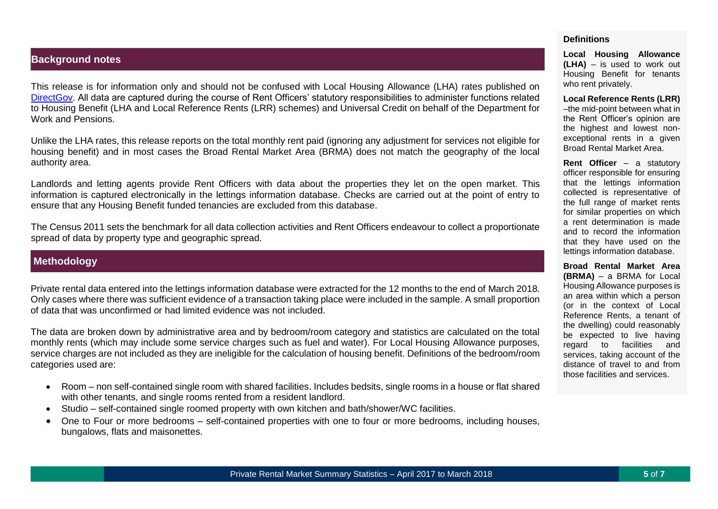#### **Background notes**

This release is for information only and should not be confused with Local Housing Allowance (LHA) rates published on [DirectGov.](https://lha-direct.voa.gov.uk/search.aspx) All data are captured during the course of Rent Officers' statutory responsibilities to administer functions related to Housing Benefit (LHA and Local Reference Rents (LRR) schemes) and Universal Credit on behalf of the Department for Work and Pensions.

Unlike the LHA rates, this release reports on the total monthly rent paid (ignoring any adjustment for services not eligible for housing benefit) and in most cases the Broad Rental Market Area (BRMA) does not match the geography of the local authority area.

Landlords and letting agents provide Rent Officers with data about the properties they let on the open market. This information is captured electronically in the lettings information database. Checks are carried out at the point of entry to ensure that any Housing Benefit funded tenancies are excluded from this database.

The Census 2011 sets the benchmark for all data collection activities and Rent Officers endeavour to collect a proportionate spread of data by property type and geographic spread.

## **Methodology**

Private rental data entered into the lettings information database were extracted for the 12 months to the end of March 2018. Only cases where there was sufficient evidence of a transaction taking place were included in the sample. A small proportion of data that was unconfirmed or had limited evidence was not included.

The data are broken down by administrative area and by bedroom/room category and statistics are calculated on the total monthly rents (which may include some service charges such as fuel and water). For Local Housing Allowance purposes, service charges are not included as they are ineligible for the calculation of housing benefit. Definitions of the bedroom/room categories used are:

- Room non self-contained single room with shared facilities. Includes bedsits, single rooms in a house or flat shared with other tenants, and single rooms rented from a resident landlord.
- Studio self-contained single roomed property with own kitchen and bath/shower/WC facilities.
- One to Four or more bedrooms self-contained properties with one to four or more bedrooms, including houses, bungalows, flats and maisonettes.

#### **Definitions**

**Local Housing Allowance (LHA)** – is used to work out Housing Benefit for tenants who rent privately.

**Local Reference Rents (LRR)** –the mid-point between what in the Rent Officer's opinion are the highest and lowest nonexceptional rents in a given Broad Rental Market Area.

**Rent Officer** – a statutory officer responsible for ensuring that the lettings information collected is representative of the full range of market rents for similar properties on which a rent determination is made and to record the information that they have used on the lettings information database.

**Broad Rental Market Area (BRMA)** – a BRMA for Local Housing Allowance purposes is an area within which a person (or in the context of Local Reference Rents, a tenant of the dwelling) could reasonably be expected to live having regard to facilities and services, taking account of the distance of travel to and from those facilities and services.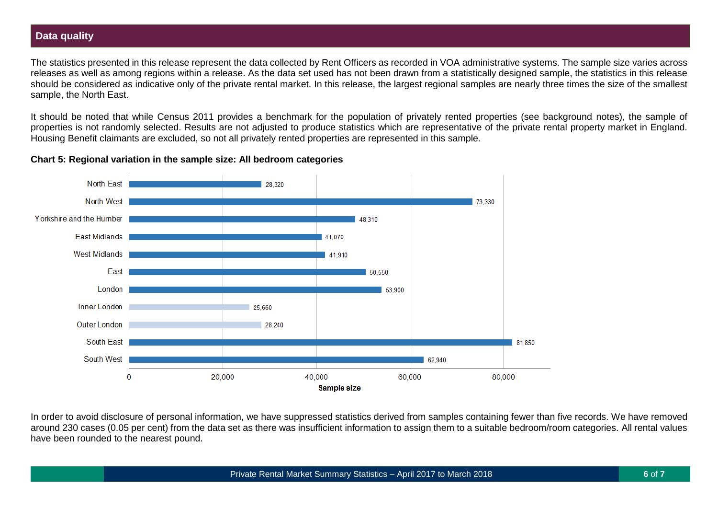## <span id="page-5-0"></span>**Data quality**

The statistics presented in this release represent the data collected by Rent Officers as recorded in VOA administrative systems. The sample size varies across releases as well as among regions within a release. As the data set used has not been drawn from a statistically designed sample, the statistics in this release should be considered as indicative only of the private rental market. In this release, the largest regional samples are nearly three times the size of the smallest sample, the North East.

It should be noted that while Census 2011 provides a benchmark for the population of privately rented properties (see background notes), the sample of properties is not randomly selected. Results are not adjusted to produce statistics which are representative of the private rental property market in England. Housing Benefit claimants are excluded, so not all privately rented properties are represented in this sample.

**Chart 5: Regional variation in the sample size: All bedroom categories**



In order to avoid disclosure of personal information, we have suppressed statistics derived from samples containing fewer than five records. We have removed around 230 cases (0.05 per cent) from the data set as there was insufficient information to assign them to a suitable bedroom/room categories. All rental values have been rounded to the nearest pound.